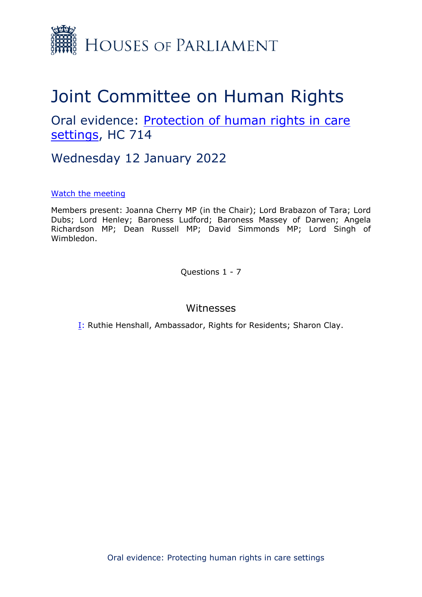

# Joint Committee on Human Rights

Oral evidence: [Protection](https://committees.parliament.uk/work/1495/protecting-human-rights-in-care-settings/publications/) [of](https://committees.parliament.uk/work/1495/protecting-human-rights-in-care-settings/publications/) [human](https://committees.parliament.uk/work/1495/protecting-human-rights-in-care-settings/publications/) [rights](https://committees.parliament.uk/work/1495/protecting-human-rights-in-care-settings/publications/) [in](https://committees.parliament.uk/work/1495/protecting-human-rights-in-care-settings/publications/) [care](https://committees.parliament.uk/work/1495/protecting-human-rights-in-care-settings/publications/) [settings](https://committees.parliament.uk/work/1495/protecting-human-rights-in-care-settings/publications/), HC 714

Wednesday 12 January 2022

### [Watch](https://parliamentlive.tv/event/index/b8f46013-11a6-43e2-99a9-d0e8f6713507?in=15:00:38) [the](https://parliamentlive.tv/event/index/b8f46013-11a6-43e2-99a9-d0e8f6713507?in=15:00:38) [meeting](https://parliamentlive.tv/event/index/b8f46013-11a6-43e2-99a9-d0e8f6713507?in=15:00:38)

Members present: Joanna Cherry MP (in the Chair); Lord Brabazon of Tara; Lord Dubs; Lord Henley; Baroness Ludford; Baroness Massey of Darwen; Angela Richardson MP; Dean Russell MP; David Simmonds MP; Lord Singh of Wimbledon.

Questions 1 - 7

## Witnesses

I: Ruthie Henshall, Ambassador, Rights for Residents; Sharon Clay.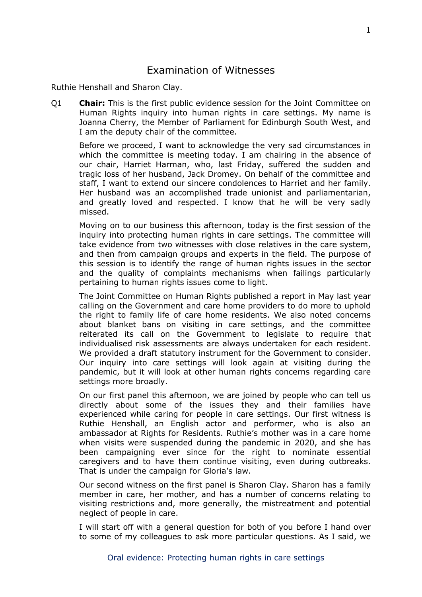## Examination of Witnesses

Ruthie Henshall and Sharon Clay.

Q1 **Chair:** This is the first public evidence session for the Joint Committee on Human Rights inquiry into human rights in care settings. My name is Joanna Cherry, the Member of Parliament for Edinburgh South West, and I am the deputy chair of the committee.

Before we proceed, I want to acknowledge the very sad circumstances in which the committee is meeting today. I am chairing in the absence of our chair, Harriet Harman, who, last Friday, suffered the sudden and tragic loss of her husband, Jack Dromey. On behalf of the committee and staff, I want to extend our sincere condolences to Harriet and her family. Her husband was an accomplished trade unionist and parliamentarian, and greatly loved and respected. I know that he will be very sadly missed.

Moving on to our business this afternoon, today is the first session of the inquiry into protecting human rights in care settings. The committee will take evidence from two witnesses with close relatives in the care system, and then from campaign groups and experts in the field. The purpose of this session is to identify the range of human rights issues in the sector and the quality of complaints mechanisms when failings particularly pertaining to human rights issues come to light.

The Joint Committee on Human Rights published a report in May last year calling on the Government and care home providers to do more to uphold the right to family life of care home residents. We also noted concerns about blanket bans on visiting in care settings, and the committee reiterated its call on the Government to legislate to require that individualised risk assessments are always undertaken for each resident. We provided a draft statutory instrument for the Government to consider. Our inquiry into care settings will look again at visiting during the pandemic, but it will look at other human rights concerns regarding care settings more broadly.

On our first panel this afternoon, we are joined by people who can tell us directly about some of the issues they and their families have experienced while caring for people in care settings. Our first witness is Ruthie Henshall, an English actor and performer, who is also an ambassador at Rights for Residents. Ruthie's mother was in a care home when visits were suspended during the pandemic in 2020, and she has been campaigning ever since for the right to nominate essential caregivers and to have them continue visiting, even during outbreaks. That is under the campaign for Gloria's law.

Our second witness on the first panel is Sharon Clay. Sharon has a family member in care, her mother, and has a number of concerns relating to visiting restrictions and, more generally, the mistreatment and potential neglect of people in care.

I will start off with a general question for both of you before I hand over to some of my colleagues to ask more particular questions. As I said, we

1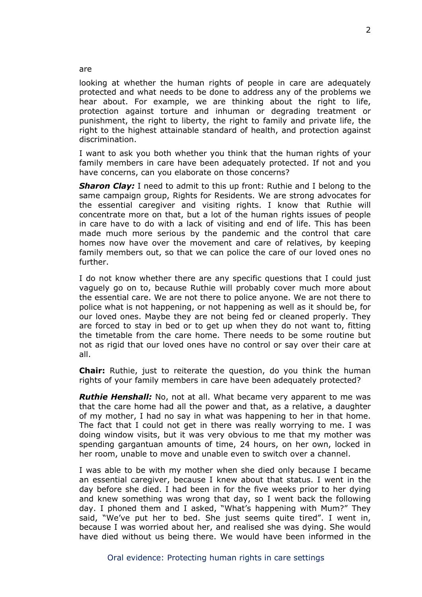looking at whether the human rights of people in care are adequately protected and what needs to be done to address any of the problems we hear about. For example, we are thinking about the right to life, protection against torture and inhuman or degrading treatment or punishment, the right to liberty, the right to family and private life, the right to the highest attainable standard of health, and protection against discrimination.

I want to ask you both whether you think that the human rights of your family members in care have been adequately protected. If not and you have concerns, can you elaborate on those concerns?

*Sharon Clay:* I need to admit to this up front: Ruthie and I belong to the same campaign group, Rights for Residents. We are strong advocates for the essential caregiver and visiting rights. I know that Ruthie will concentrate more on that, but a lot of the human rights issues of people in care have to do with a lack of visiting and end of life. This has been made much more serious by the pandemic and the control that care homes now have over the movement and care of relatives, by keeping family members out, so that we can police the care of our loved ones no further.

I do not know whether there are any specific questions that I could just vaguely go on to, because Ruthie will probably cover much more about the essential care. We are not there to police anyone. We are not there to police what is not happening, or not happening as well as it should be, for our loved ones. Maybe they are not being fed or cleaned properly. They are forced to stay in bed or to get up when they do not want to, fitting the timetable from the care home. There needs to be some routine but not as rigid that our loved ones have no control or say over their care at all.

**Chair:** Ruthie, just to reiterate the question, do you think the human rights of your family members in care have been adequately protected?

*Ruthie Henshall:* No, not at all. What became very apparent to me was that the care home had all the power and that, as a relative, a daughter of my mother, I had no say in what was happening to her in that home. The fact that I could not get in there was really worrying to me. I was doing window visits, but it was very obvious to me that my mother was spending gargantuan amounts of time, 24 hours, on her own, locked in her room, unable to move and unable even to switch over a channel.

I was able to be with my mother when she died only because I became an essential caregiver, because I knew about that status. I went in the day before she died. I had been in for the five weeks prior to her dying and knew something was wrong that day, so I went back the following day. I phoned them and I asked, "What's happening with Mum?" They said, "We've put her to bed. She just seems quite tired". I went in, because I was worried about her, and realised she was dying. She would have died without us being there. We would have been informed in the

are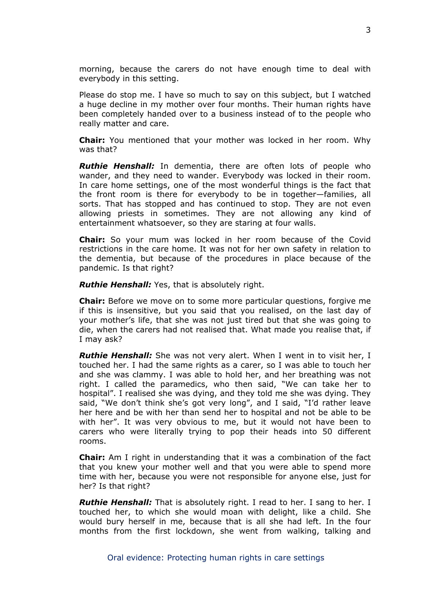morning, because the carers do not have enough time to deal with everybody in this setting.

Please do stop me. I have so much to say on this subject, but I watched a huge decline in my mother over four months. Their human rights have been completely handed over to a business instead of to the people who really matter and care.

**Chair:** You mentioned that your mother was locked in her room. Why was that?

*Ruthie Henshall:* In dementia, there are often lots of people who wander, and they need to wander. Everybody was locked in their room. In care home settings, one of the most wonderful things is the fact that the front room is there for everybody to be in together—families, all sorts. That has stopped and has continued to stop. They are not even allowing priests in sometimes. They are not allowing any kind of entertainment whatsoever, so they are staring at four walls.

**Chair:** So your mum was locked in her room because of the Covid restrictions in the care home. It was not for her own safety in relation to the dementia, but because of the procedures in place because of the pandemic. Is that right?

*Ruthie Henshall:* Yes, that is absolutely right.

**Chair:** Before we move on to some more particular questions, forgive me if this is insensitive, but you said that you realised, on the last day of your mother's life, that she was not just tired but that she was going to die, when the carers had not realised that. What made you realise that, if I may ask?

*Ruthie Henshall:* She was not very alert. When I went in to visit her, I touched her. I had the same rights as a carer, so I was able to touch her and she was clammy. I was able to hold her, and her breathing was not right. I called the paramedics, who then said, "We can take her to hospital". I realised she was dying, and they told me she was dying. They said, "We don't think she's got very long", and I said, "I'd rather leave her here and be with her than send her to hospital and not be able to be with her". It was very obvious to me, but it would not have been to carers who were literally trying to pop their heads into 50 different rooms.

**Chair:** Am I right in understanding that it was a combination of the fact that you knew your mother well and that you were able to spend more time with her, because you were not responsible for anyone else, just for her? Is that right?

*Ruthie Henshall:* That is absolutely right. I read to her. I sang to her. I touched her, to which she would moan with delight, like a child. She would bury herself in me, because that is all she had left. In the four months from the first lockdown, she went from walking, talking and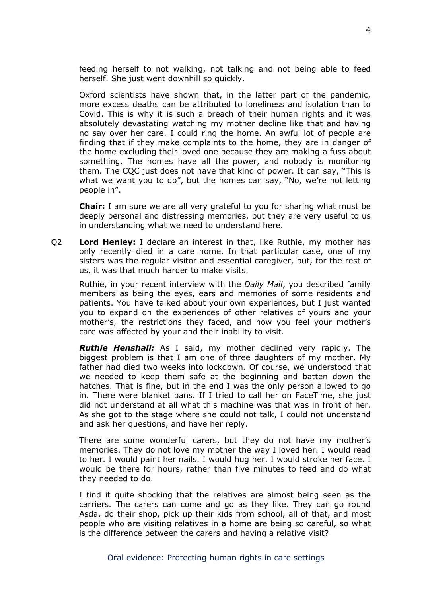feeding herself to not walking, not talking and not being able to feed herself. She just went downhill so quickly.

Oxford scientists have shown that, in the latter part of the pandemic, more excess deaths can be attributed to loneliness and isolation than to Covid. This is why it is such a breach of their human rights and it was absolutely devastating watching my mother decline like that and having no say over her care. I could ring the home. An awful lot of people are finding that if they make complaints to the home, they are in danger of the home excluding their loved one because they are making a fuss about something. The homes have all the power, and nobody is monitoring them. The CQC just does not have that kind of power. It can say, "This is what we want you to do", but the homes can say, "No, we're not letting people in".

**Chair:** I am sure we are all very grateful to you for sharing what must be deeply personal and distressing memories, but they are very useful to us in understanding what we need to understand here.

Q2 **Lord Henley:** I declare an interest in that, like Ruthie, my mother has only recently died in a care home. In that particular case, one of my sisters was the regular visitor and essential caregiver, but, for the rest of us, it was that much harder to make visits.

Ruthie, in your recent interview with the *Daily Mail*, you described family members as being the eyes, ears and memories of some residents and patients. You have talked about your own experiences, but I just wanted you to expand on the experiences of other relatives of yours and your mother's, the restrictions they faced, and how you feel your mother's care was affected by your and their inability to visit.

*Ruthie Henshall:* As I said, my mother declined very rapidly. The biggest problem is that I am one of three daughters of my mother. My father had died two weeks into lockdown. Of course, we understood that we needed to keep them safe at the beginning and batten down the hatches. That is fine, but in the end I was the only person allowed to go in. There were blanket bans. If I tried to call her on FaceTime, she just did not understand at all what this machine was that was in front of her. As she got to the stage where she could not talk, I could not understand and ask her questions, and have her reply.

There are some wonderful carers, but they do not have my mother's memories. They do not love my mother the way I loved her. I would read to her. I would paint her nails. I would hug her. I would stroke her face. I would be there for hours, rather than five minutes to feed and do what they needed to do.

I find it quite shocking that the relatives are almost being seen as the carriers. The carers can come and go as they like. They can go round Asda, do their shop, pick up their kids from school, all of that, and most people who are visiting relatives in a home are being so careful, so what is the difference between the carers and having a relative visit?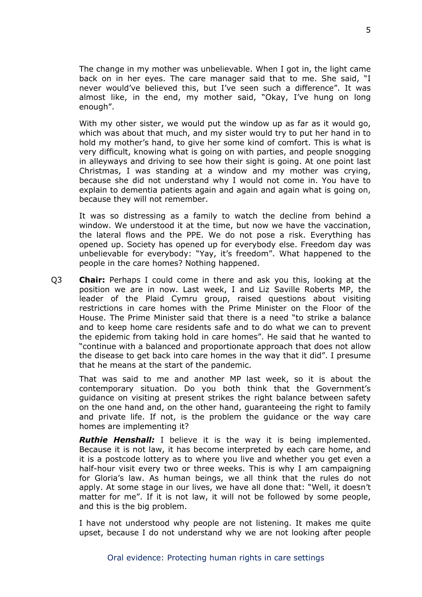The change in my mother was unbelievable. When I got in, the light came back on in her eyes. The care manager said that to me. She said, "I never would've believed this, but I've seen such a difference". It was almost like, in the end, my mother said, "Okay, I've hung on long enough".

With my other sister, we would put the window up as far as it would go, which was about that much, and my sister would try to put her hand in to hold my mother's hand, to give her some kind of comfort. This is what is very difficult, knowing what is going on with parties, and people snogging in alleyways and driving to see how their sight is going. At one point last Christmas, I was standing at a window and my mother was crying, because she did not understand why I would not come in. You have to explain to dementia patients again and again and again what is going on, because they will not remember.

It was so distressing as a family to watch the decline from behind a window. We understood it at the time, but now we have the vaccination, the lateral flows and the PPE. We do not pose a risk. Everything has opened up. Society has opened up for everybody else. Freedom day was unbelievable for everybody: "Yay, it's freedom". What happened to the people in the care homes? Nothing happened.

Q3 **Chair:** Perhaps I could come in there and ask you this, looking at the position we are in now. Last week, I and Liz Saville Roberts MP, the leader of the Plaid Cymru group, raised questions about visiting restrictions in care homes with the Prime Minister on the Floor of the House. The Prime Minister said that there is a need "to strike a balance and to keep home care residents safe and to do what we can to prevent the epidemic from taking hold in care homes". He said that he wanted to "continue with a balanced and proportionate approach that does not allow the disease to get back into care homes in the way that it did". I presume that he means at the start of the pandemic.

That was said to me and another MP last week, so it is about the contemporary situation. Do you both think that the Government's guidance on visiting at present strikes the right balance between safety on the one hand and, on the other hand, guaranteeing the right to family and private life. If not, is the problem the guidance or the way care homes are implementing it?

*Ruthie Henshall:* I believe it is the way it is being implemented. Because it is not law, it has become interpreted by each care home, and it is a postcode lottery as to where you live and whether you get even a half-hour visit every two or three weeks. This is why I am campaigning for Gloria's law. As human beings, we all think that the rules do not apply. At some stage in our lives, we have all done that: "Well, it doesn't matter for me". If it is not law, it will not be followed by some people, and this is the big problem.

I have not understood why people are not listening. It makes me quite upset, because I do not understand why we are not looking after people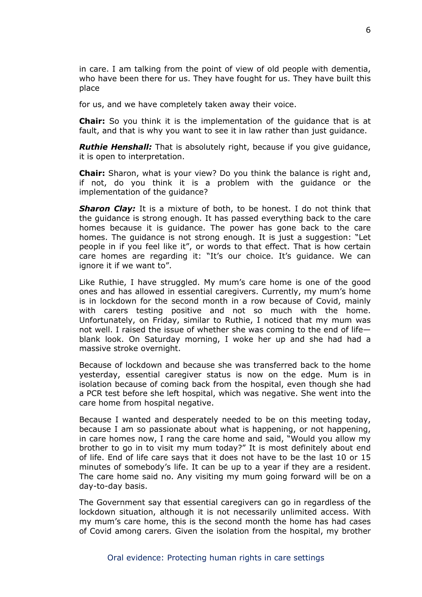in care. I am talking from the point of view of old people with dementia, who have been there for us. They have fought for us. They have built this place

for us, and we have completely taken away their voice.

**Chair:** So you think it is the implementation of the guidance that is at fault, and that is why you want to see it in law rather than just guidance.

*Ruthie Henshall:* That is absolutely right, because if you give guidance, it is open to interpretation.

**Chair:** Sharon, what is your view? Do you think the balance is right and, if not, do you think it is a problem with the guidance or the implementation of the guidance?

*Sharon Clay:* It is a mixture of both, to be honest. I do not think that the guidance is strong enough. It has passed everything back to the care homes because it is guidance. The power has gone back to the care homes. The quidance is not strong enough. It is just a suggestion: "Let people in if you feel like it", or words to that effect. That is how certain care homes are regarding it: "It's our choice. It's guidance. We can ignore it if we want to".

Like Ruthie, I have struggled. My mum's care home is one of the good ones and has allowed in essential caregivers. Currently, my mum's home is in lockdown for the second month in a row because of Covid, mainly with carers testing positive and not so much with the home. Unfortunately, on Friday, similar to Ruthie, I noticed that my mum was not well. I raised the issue of whether she was coming to the end of life blank look. On Saturday morning, I woke her up and she had had a massive stroke overnight.

Because of lockdown and because she was transferred back to the home yesterday, essential caregiver status is now on the edge. Mum is in isolation because of coming back from the hospital, even though she had a PCR test before she left hospital, which was negative. She went into the care home from hospital negative.

Because I wanted and desperately needed to be on this meeting today, because I am so passionate about what is happening, or not happening, in care homes now, I rang the care home and said, "Would you allow my brother to go in to visit my mum today?" It is most definitely about end of life. End of life care says that it does not have to be the last 10 or 15 minutes of somebody's life. It can be up to a year if they are a resident. The care home said no. Any visiting my mum going forward will be on a day-to-day basis.

The Government say that essential caregivers can go in regardless of the lockdown situation, although it is not necessarily unlimited access. With my mum's care home, this is the second month the home has had cases of Covid among carers. Given the isolation from the hospital, my brother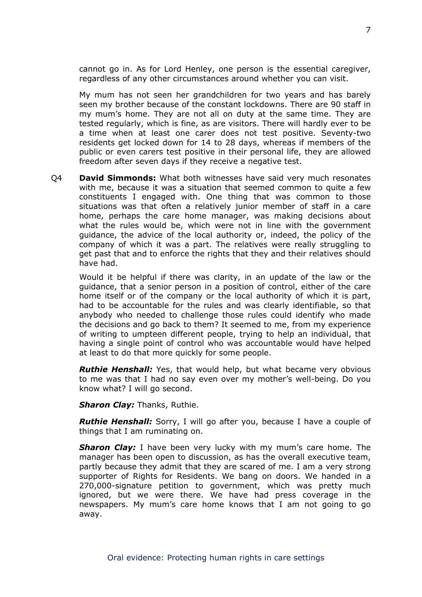cannot go in. As for Lord Henley, one person is the essential caregiver, regardless of any other circumstances around whether you can visit.

My mum has not seen her grandchildren for two years and has barely seen my brother because of the constant lockdowns. There are 90 staff in my mum's home. They are not all on duty at the same time. They are tested regularly, which is fine, as are visitors. There will hardly ever to be a time when at least one carer does not test positive. Seventy-two residents get locked down for 14 to 28 days, whereas if members of the public or even carers test positive in their personal life, they are allowed freedom after seven days if they receive a negative test.

Q4 **David Simmonds:** What both witnesses have said very much resonates with me, because it was a situation that seemed common to quite a few constituents I engaged with. One thing that was common to those situations was that often a relatively junior member of staff in a care home, perhaps the care home manager, was making decisions about what the rules would be, which were not in line with the government guidance, the advice of the local authority or, indeed, the policy of the company of which it was a part. The relatives were really struggling to get past that and to enforce the rights that they and their relatives should have had.

Would it be helpful if there was clarity, in an update of the law or the guidance, that a senior person in a position of control, either of the care home itself or of the company or the local authority of which it is part, had to be accountable for the rules and was clearly identifiable, so that anybody who needed to challenge those rules could identify who made the decisions and go back to them? It seemed to me, from my experience of writing to umpteen different people, trying to help an individual, that having a single point of control who was accountable would have helped at least to do that more quickly for some people.

*Ruthie Henshall:* Yes, that would help, but what became very obvious to me was that I had no say even over my mother's well-being. Do you know what? I will go second.

*Sharon Clay:* Thanks, Ruthie.

*Ruthie Henshall:* Sorry, I will go after you, because I have a couple of things that I am ruminating on.

*Sharon Clay:* I have been very lucky with my mum's care home. The manager has been open to discussion, as has the overall executive team, partly because they admit that they are scared of me. I am a very strong supporter of Rights for Residents. We bang on doors. We handed in a 270,000-signature petition to government, which was pretty much ignored, but we were there. We have had press coverage in the newspapers. My mum's care home knows that I am not going to go away.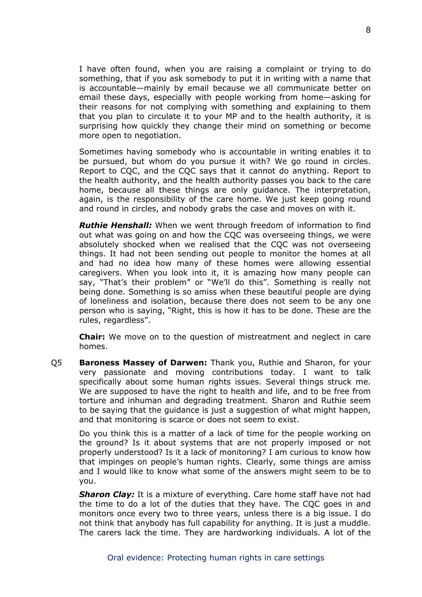I have often found, when you are raising a complaint or trying to do something, that if you ask somebody to put it in writing with a name that is accountable—mainly by email because we all communicate better on email these days, especially with people working from home—asking for their reasons for not complying with something and explaining to them that you plan to circulate it to your MP and to the health authority, it is surprising how quickly they change their mind on something or become more open to negotiation.

Sometimes having somebody who is accountable in writing enables it to be pursued, but whom do you pursue it with? We go round in circles. Report to CQC, and the CQC says that it cannot do anything. Report to the health authority, and the health authority passes you back to the care home, because all these things are only guidance. The interpretation, again, is the responsibility of the care home. We just keep going round and round in circles, and nobody grabs the case and moves on with it.

*Ruthie Henshall:* When we went through freedom of information to find out what was going on and how the CQC was overseeing things, we were absolutely shocked when we realised that the CQC was not overseeing things. It had not been sending out people to monitor the homes at all and had no idea how many of these homes were allowing essential caregivers. When you look into it, it is amazing how many people can say, "That's their problem" or "We'll do this". Something is really not being done. Something is so amiss when these beautiful people are dying of loneliness and isolation, because there does not seem to be any one person who is saying, "Right, this is how it has to be done. These are the rules, regardless".

**Chair:** We move on to the question of mistreatment and neglect in care homes.

Q5 **Baroness Massey of Darwen:** Thank you, Ruthie and Sharon, for your very passionate and moving contributions today. I want to talk specifically about some human rights issues. Several things struck me. We are supposed to have the right to health and life, and to be free from torture and inhuman and degrading treatment. Sharon and Ruthie seem to be saying that the guidance is just a suggestion of what might happen, and that monitoring is scarce or does not seem to exist.

Do you think this is a matter of a lack of time for the people working on the ground? Is it about systems that are not properly imposed or not properly understood? Is it a lack of monitoring? I am curious to know how that impinges on people's human rights. Clearly, some things are amiss and I would like to know what some of the answers might seem to be to you.

*Sharon Clay:* It is a mixture of everything. Care home staff have not had the time to do a lot of the duties that they have. The CQC goes in and monitors once every two to three years, unless there is a big issue. I do not think that anybody has full capability for anything. It is just a muddle. The carers lack the time. They are hardworking individuals. A lot of the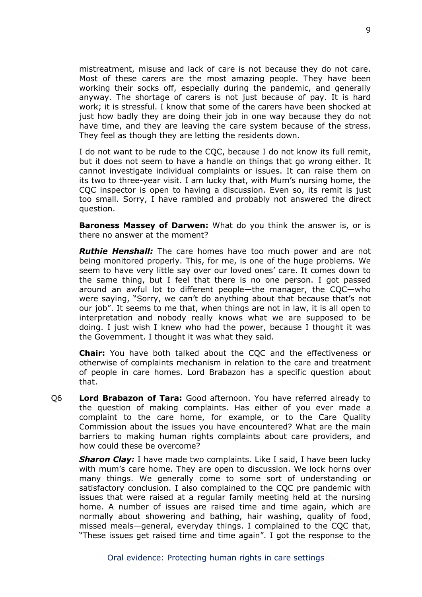mistreatment, misuse and lack of care is not because they do not care. Most of these carers are the most amazing people. They have been working their socks off, especially during the pandemic, and generally anyway. The shortage of carers is not just because of pay. It is hard work; it is stressful. I know that some of the carers have been shocked at just how badly they are doing their job in one way because they do not have time, and they are leaving the care system because of the stress. They feel as though they are letting the residents down.

I do not want to be rude to the CQC, because I do not know its full remit, but it does not seem to have a handle on things that go wrong either. It cannot investigate individual complaints or issues. It can raise them on its two to three-year visit. I am lucky that, with Mum's nursing home, the CQC inspector is open to having a discussion. Even so, its remit is just too small. Sorry, I have rambled and probably not answered the direct question.

**Baroness Massey of Darwen:** What do you think the answer is, or is there no answer at the moment?

*Ruthie Henshall:* The care homes have too much power and are not being monitored properly. This, for me, is one of the huge problems. We seem to have very little say over our loved ones' care. It comes down to the same thing, but I feel that there is no one person. I got passed around an awful lot to different people—the manager, the CQC—who were saying, "Sorry, we can't do anything about that because that's not our job". It seems to me that, when things are not in law, it is all open to interpretation and nobody really knows what we are supposed to be doing. I just wish I knew who had the power, because I thought it was the Government. I thought it was what they said.

**Chair:** You have both talked about the CQC and the effectiveness or otherwise of complaints mechanism in relation to the care and treatment of people in care homes. Lord Brabazon has a specific question about that.

Q6 **Lord Brabazon of Tara:** Good afternoon. You have referred already to the question of making complaints. Has either of you ever made a complaint to the care home, for example, or to the Care Quality Commission about the issues you have encountered? What are the main barriers to making human rights complaints about care providers, and how could these be overcome?

*Sharon Clay:* I have made two complaints. Like I said, I have been lucky with mum's care home. They are open to discussion. We lock horns over many things. We generally come to some sort of understanding or satisfactory conclusion. I also complained to the CQC pre pandemic with issues that were raised at a regular family meeting held at the nursing home. A number of issues are raised time and time again, which are normally about showering and bathing, hair washing, quality of food, missed meals—general, everyday things. I complained to the CQC that, "These issues get raised time and time again". I got the response to the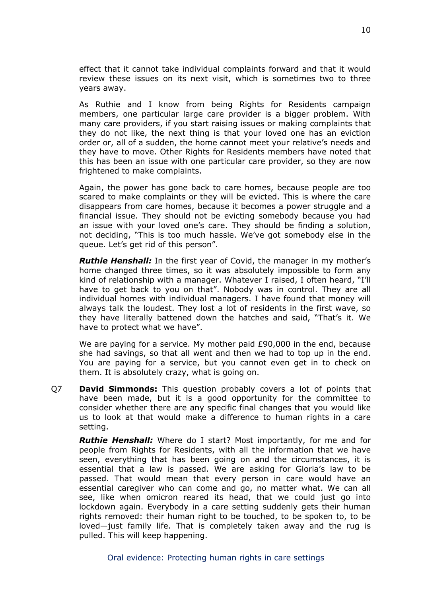effect that it cannot take individual complaints forward and that it would review these issues on its next visit, which is sometimes two to three years away.

As Ruthie and I know from being Rights for Residents campaign members, one particular large care provider is a bigger problem. With many care providers, if you start raising issues or making complaints that they do not like, the next thing is that your loved one has an eviction order or, all of a sudden, the home cannot meet your relative's needs and they have to move. Other Rights for Residents members have noted that this has been an issue with one particular care provider, so they are now frightened to make complaints.

Again, the power has gone back to care homes, because people are too scared to make complaints or they will be evicted. This is where the care disappears from care homes, because it becomes a power struggle and a financial issue. They should not be evicting somebody because you had an issue with your loved one's care. They should be finding a solution, not deciding, "This is too much hassle. We've got somebody else in the queue. Let's get rid of this person".

*Ruthie Henshall:* In the first year of Covid, the manager in my mother's home changed three times, so it was absolutely impossible to form any kind of relationship with a manager. Whatever I raised, I often heard, "I'll have to get back to you on that". Nobody was in control. They are all individual homes with individual managers. I have found that money will always talk the loudest. They lost a lot of residents in the first wave, so they have literally battened down the hatches and said, "That's it. We have to protect what we have".

We are paying for a service. My mother paid £90,000 in the end, because she had savings, so that all went and then we had to top up in the end. You are paying for a service, but you cannot even get in to check on them. It is absolutely crazy, what is going on.

Q7 **David Simmonds:** This question probably covers a lot of points that have been made, but it is a good opportunity for the committee to consider whether there are any specific final changes that you would like us to look at that would make a difference to human rights in a care setting.

*Ruthie Henshall:* Where do I start? Most importantly, for me and for people from Rights for Residents, with all the information that we have seen, everything that has been going on and the circumstances, it is essential that a law is passed. We are asking for Gloria's law to be passed. That would mean that every person in care would have an essential caregiver who can come and go, no matter what. We can all see, like when omicron reared its head, that we could just go into lockdown again. Everybody in a care setting suddenly gets their human rights removed: their human right to be touched, to be spoken to, to be loved—just family life. That is completely taken away and the rug is pulled. This will keep happening.